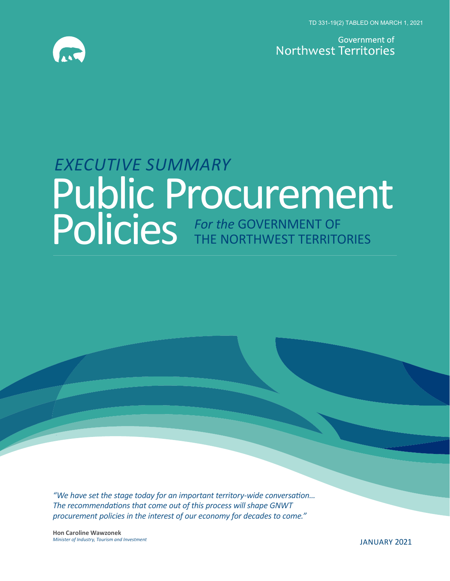TD 331-19(2) TABLED ON MARCH 1, 2021



Government of Northwest Territories

# *EXECUTIVE SUMMARY*  Public Procurement **Policies** *For the GOVERNMENT OF* THE NORTHWEST TERRITORIES

*"We have set the stage today for an important territory-wide conversation... The recommendations that come out of this process will shape GNWT procurement policies in the interest of our economy for decades to come."*

**Hon Caroline Wawzonek** *Minister of Industry, Tourism and Investment* JANUARY 2021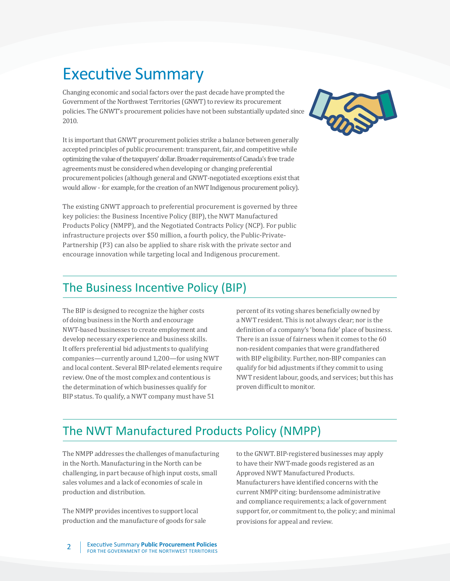## Executive Summary

Changing economic and social factors over the past decade have prompted the Government of the Northwest Territories (GNWT) to review its procurement policies. The GNWT's procurement policies have not been substantially updated since 2010.

It is important that GNWT procurement policies strike a balance between generally accepted principles of public procurement: transparent, fair, and competitive while optimizing the value of the taxpayers' dollar. Broader requirements of Canada's free trade agreements must be considered when developing or changing preferential procurement policies (although general and GNWT-negotiated exceptions exist that would allow - for example, for the creation of an NWT Indigenous procurement policy).

The existing GNWT approach to preferential procurement is governed by three key policies: the Business Incentive Policy (BIP), the NWT Manufactured Products Policy (NMPP), and the Negotiated Contracts Policy (NCP). For public infrastructure projects over \$50 million, a fourth policy, the Public-Private-Partnership (P3) can also be applied to share risk with the private sector and encourage innovation while targeting local and Indigenous procurement.



#### The Business Incentive Policy (BIP)

The BIP is designed to recognize the higher costs of doing business in the North and encourage NWT-based businesses to create employment and develop necessary experience and business skills. It offers preferential bid adjustments to qualifying companies—currently around 1,200—for using NWT and local content. Several BIP-related elements require review. One of the most complex and contentious is the determination of which businesses qualify for BIP status. To qualify, a NWT company must have 51

percent of its voting shares beneficially owned by a NWT resident. This is not always clear; nor is the definition of a company's 'bona fide' place of business. There is an issue of fairness when it comes to the 60 non-resident companies that were grandfathered with BIP eligibility. Further, non-BIP companies can qualify for bid adjustments if they commit to using NWT resident labour, goods, and services; but this has proven difficult to monitor.

#### The NWT Manufactured Products Policy (NMPP)

The NMPP addresses the challenges of manufacturing in the North. Manufacturing in the North can be challenging, in part because of high input costs, small sales volumes and a lack of economies of scale in production and distribution.

The NMPP provides incentives to support local production and the manufacture of goods for sale to the GNWT. BIP-registered businesses may apply to have their NWT-made goods registered as an Approved NWT Manufactured Products. Manufacturers have identified concerns with the current NMPP citing: burdensome administrative and compliance requirements; a lack of government support for, or commitment to, the policy; and minimal provisions for appeal and review.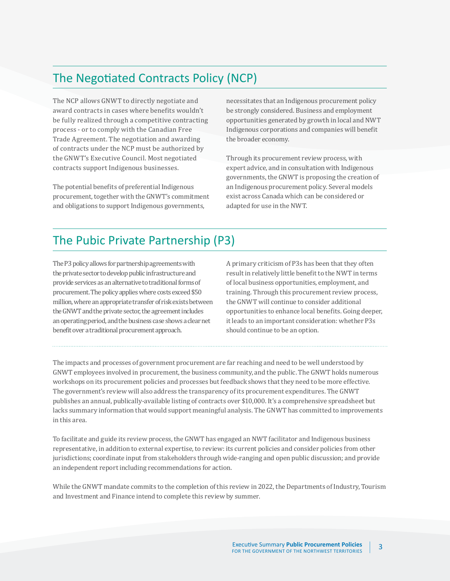### The Negotiated Contracts Policy (NCP)

The NCP allows GNWT to directly negotiate and award contracts in cases where benefits wouldn't be fully realized through a competitive contracting process - or to comply with the Canadian Free Trade Agreement. The negotiation and awarding of contracts under the NCP must be authorized by the GNWT's Executive Council. Most negotiated contracts support Indigenous businesses.

The potential benefits of preferential Indigenous procurement, together with the GNWT's commitment and obligations to support Indigenous governments,

necessitates that an Indigenous procurement policy be strongly considered. Business and employment opportunities generated by growth in local and NWT Indigenous corporations and companies will benefit the broader economy.

Through its procurement review process, with expert advice, and in consultation with Indigenous governments, the GNWT is proposing the creation of an Indigenous procurement policy. Several models exist across Canada which can be considered or adapted for use in the NWT.

#### The Pubic Private Partnership (P3)

The P3 policy allows for partnership agreements with the private sector to develop public infrastructure and provide services as an alternative to traditional forms of procurement. The policy applies where costs exceed \$50 million, where an appropriate transfer of risk exists between the GNWT and the private sector, the agreement includes an operating period, and the business case shows a clear net benefit over a traditional procurement approach.

A primary criticism of P3s has been that they often result in relatively little benefit to the NWT in terms of local business opportunities, employment, and training. Through this procurement review process, the GNWT will continue to consider additional opportunities to enhance local benefits. Going deeper, it leads to an important consideration: whether P3s should continue to be an option.

The impacts and processes of government procurement are far reaching and need to be well understood by GNWT employees involved in procurement, the business community, and the public. The GNWT holds numerous workshops on its procurement policies and processes but feedback shows that they need to be more effective. The government's review will also address the transparency of its procurement expenditures. The GNWT publishes an annual, publically-available listing of contracts over \$10,000. It's a comprehensive spreadsheet but lacks summary information that would support meaningful analysis. The GNWT has committed to improvements in this area.

To facilitate and guide its review process, the GNWT has engaged an NWT facilitator and Indigenous business representative, in addition to external expertise, to review: its current policies and consider policies from other jurisdictions; coordinate input from stakeholders through wide-ranging and open public discussion; and provide an independent report including recommendations for action.

While the GNWT mandate commits to the completion of this review in 2022, the Departments of Industry, Tourism and Investment and Finance intend to complete this review by summer.